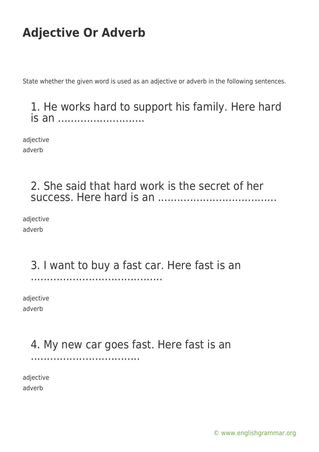State whether the given word is used as an adjective or adverb in the following sentences.

#### 1. He works hard to support his family. Here hard is an ............................

adjective adverb

### 2. She said that hard work is the secret of her success. Here hard is an .....................................

adjective adverb

#### 3. I want to buy a fast car. Here fast is an .........................................

adjective adverb

### 4. My new car goes fast. Here fast is an

..................................

adjective adverb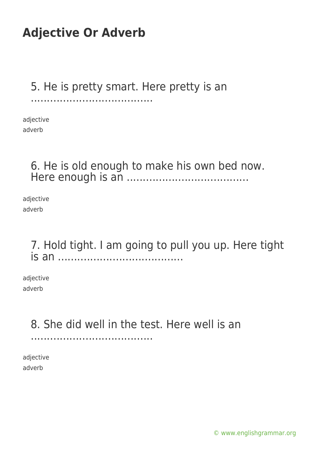### 5. He is pretty smart. Here pretty is an

......................................

adjective adverb

### 6. He is old enough to make his own bed now. Here enough is an ......................................

adjective adverb

#### 7. Hold tight. I am going to pull you up. Here tight is an .......................................

adjective adverb

## 8. She did well in the test. Here well is an

......................................

adjective adverb

[© www.englishgrammar.org](https://www.englishgrammar.org/)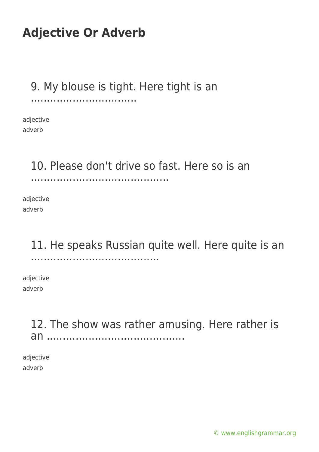9. My blouse is tight. Here tight is an

.................................

adjective adverb

### 10. Please don't drive so fast. Here so is an

...........................................

adjective adverb

#### 11. He speaks Russian quite well. Here quite is an ........................................

adjective adverb

> 12. The show was rather amusing. Here rather is an ...........................................

adjective adverb